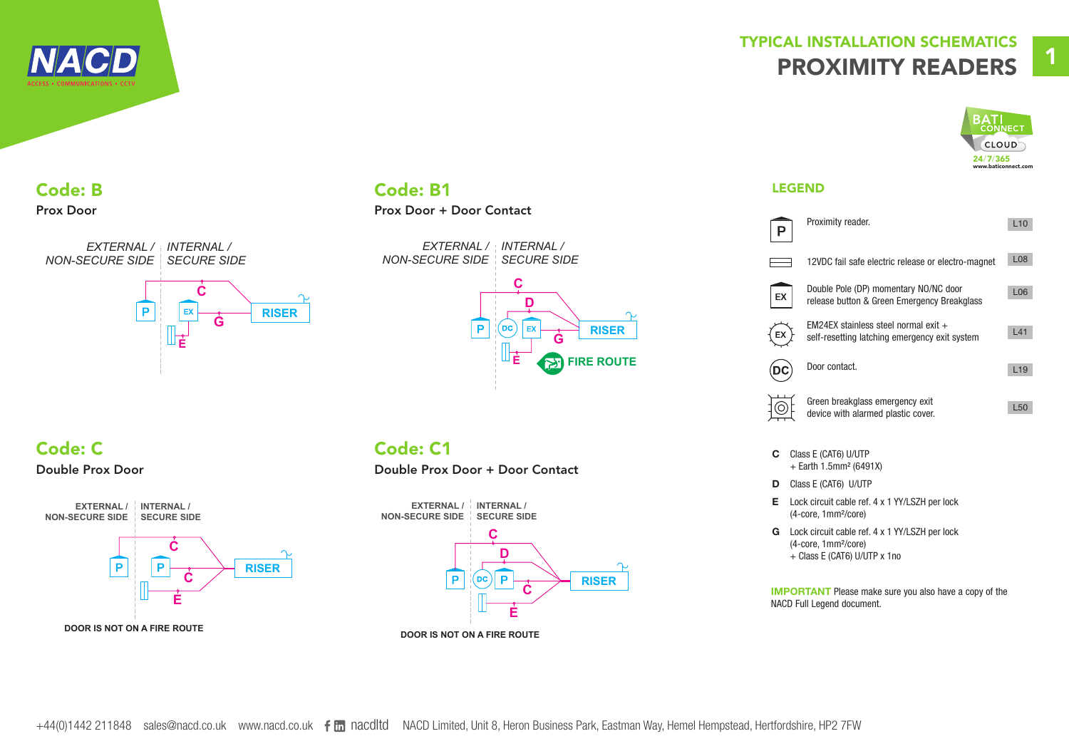

# TYPICAL INSTALLATION SCHEMATICS PROXIMITY READERS



# Code: B

#### Prox Door



## **Code: B1 LEGEND**

### Prox Door + Door Contact



## Code: C

#### Double Prox Door



## Code: C1

#### Double Prox Door + Door Contact



|    | Proximity reader.                                                                     | L10             |
|----|---------------------------------------------------------------------------------------|-----------------|
|    | 12VDC fail safe electric release or electro-magnet                                    | <b>L08</b>      |
| EХ | Double Pole (DP) momentary NO/NC door<br>release button & Green Emergency Breakglass  | L <sub>06</sub> |
|    | EM24EX stainless steel normal exit +<br>self-resetting latching emergency exit system | L41             |
|    | Door contact.                                                                         | L19             |
|    | Green breakglass emergency exit<br>device with alarmed plastic cover.                 | L <sub>50</sub> |

- C Class E (CAT6) U/UTP + Earth 1.5mm² (6491X)
- D Class E (CAT6) U/UTP
- E Lock circuit cable ref. 4 x 1 YY/LSZH per lock (4-core, 1mm²/core)
- G Lock circuit cable ref. 4 x 1 YY/LSZH per lock (4-core, 1mm²/core) + Class E (CAT6) U/UTP x 1no

IMPORTANT Please make sure you also have a copy of the NACD Full Legend document.